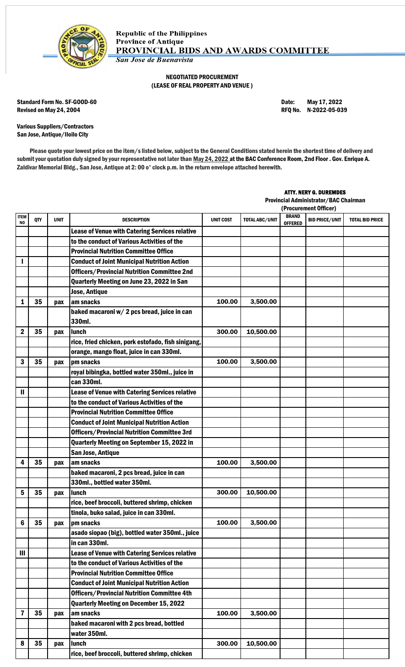

## NEGOTIATED PROCUREMENT (LEASE OF REAL PROPERTY AND VENUE )

Standard Form No. SF-GOOD-60 Date: May 17, 2022 Revised on May 24, 2004 **Review 12 and 2012** RFQ No. N-2022-05-039

Various Suppliers/Contractors San Jose, Antique/Iloilo City

Please quote your lowest price on the item/s listed below, subject to the General Conditions stated herein the shortest time of delivery and submit your quotation duly signed by your representative not later than May 24, 2022 at the BAC Conference Room, 2nd Floor . Gov. Enrique A. Zaldivar Memorial Bldg., San Jose, Antique at 2: 00 o' clock p.m. in the return envelope attached herewith.

## ATTY. NERY G. DUREMDES

Provincial Administrator/BAC Chairman

|                         |     |             |                                                       | (Procurement Officer) |                       |                                |                       |                        |
|-------------------------|-----|-------------|-------------------------------------------------------|-----------------------|-----------------------|--------------------------------|-----------------------|------------------------|
| ITEM<br>NO              | QTY | <b>UNIT</b> | DESCRIPTION                                           | <b>UNIT COST</b>      | <b>TOTAL ABC/UNIT</b> | <b>BRAND</b><br><b>OFFERED</b> | <b>BID PRICE/UNIT</b> | <b>TOTAL BID PRICE</b> |
|                         |     |             | Lease of Venue with Catering Services relative        |                       |                       |                                |                       |                        |
|                         |     |             | to the conduct of Various Activities of the           |                       |                       |                                |                       |                        |
|                         |     |             | <b>Provincial Nutrition Committee Office</b>          |                       |                       |                                |                       |                        |
|                         |     |             | <b>Conduct of Joint Municipal Nutrition Action</b>    |                       |                       |                                |                       |                        |
|                         |     |             | <b>Officers/Provincial Nutrition Committee 2nd</b>    |                       |                       |                                |                       |                        |
|                         |     |             | Quarterly Meeting on June 23, 2022 in San             |                       |                       |                                |                       |                        |
|                         |     |             | <b>Jose, Antique</b>                                  |                       |                       |                                |                       |                        |
| 1                       | 35  | pax         | am snacks                                             | 100.00                | 3,500.00              |                                |                       |                        |
|                         |     |             | baked macaroni w/ 2 pcs bread, juice in can<br>330ml. |                       |                       |                                |                       |                        |
| 2                       | 35  | pax         | lunch                                                 | 300.00                | 10,500.00             |                                |                       |                        |
|                         |     |             | rice, fried chicken, pork estofado, fish sinigang,    |                       |                       |                                |                       |                        |
|                         |     |             | orange, mango float, juice in can 330ml.              |                       |                       |                                |                       |                        |
| 3                       | 35  | pax         | pm snacks                                             | 100.00                | 3,500.00              |                                |                       |                        |
|                         |     |             | royal bibingka, bottled water 350ml., juice in        |                       |                       |                                |                       |                        |
|                         |     |             | can 330ml.                                            |                       |                       |                                |                       |                        |
| $\mathbf{I}$            |     |             | <b>Lease of Venue with Catering Services relative</b> |                       |                       |                                |                       |                        |
|                         |     |             | to the conduct of Various Activities of the           |                       |                       |                                |                       |                        |
|                         |     |             | <b>Provincial Nutrition Committee Office</b>          |                       |                       |                                |                       |                        |
|                         |     |             | <b>Conduct of Joint Municipal Nutrition Action</b>    |                       |                       |                                |                       |                        |
|                         |     |             | <b>Officers/Provincial Nutrition Committee 3rd</b>    |                       |                       |                                |                       |                        |
|                         |     |             | Quarterly Meeting on September 15, 2022 in            |                       |                       |                                |                       |                        |
|                         |     |             | San Jose, Antique                                     |                       |                       |                                |                       |                        |
| 4                       | 35  | pax         | am snacks                                             | 100.00                | 3,500.00              |                                |                       |                        |
|                         |     |             | baked macaroni, 2 pcs bread, juice in can             |                       |                       |                                |                       |                        |
|                         |     |             | 330ml., bottled water 350ml.                          |                       |                       |                                |                       |                        |
| 5                       | 35  | pax         | <b>lunch</b>                                          | 300.00                | 10,500.00             |                                |                       |                        |
|                         |     |             | rice, beef broccoli, buttered shrimp, chicken         |                       |                       |                                |                       |                        |
|                         |     |             | tinola, buko salad, juice in can 330ml.               |                       |                       |                                |                       |                        |
| 6                       | 35  | pax         | pm snacks                                             | 100.00                | 3,500.00              |                                |                       |                        |
|                         |     |             | asado siopao (big), bottled water 350ml., juice       |                       |                       |                                |                       |                        |
|                         |     |             | in can 330ml.                                         |                       |                       |                                |                       |                        |
| Ш                       |     |             | Lease of Venue with Catering Services relative        |                       |                       |                                |                       |                        |
|                         |     |             | to the conduct of Various Activities of the           |                       |                       |                                |                       |                        |
|                         |     |             | <b>Provincial Nutrition Committee Office</b>          |                       |                       |                                |                       |                        |
|                         |     |             | <b>Conduct of Joint Municipal Nutrition Action</b>    |                       |                       |                                |                       |                        |
|                         |     |             | <b>Officers/Provincial Nutrition Committee 4th</b>    |                       |                       |                                |                       |                        |
|                         |     |             | <b>Quarterly Meeting on December 15, 2022</b>         |                       |                       |                                |                       |                        |
| $\overline{\mathbf{z}}$ | 35  | pax         | am snacks                                             | 100.00                | 3,500.00              |                                |                       |                        |
|                         |     |             | baked macaroni with 2 pcs bread, bottled              |                       |                       |                                |                       |                        |
|                         |     |             | water 350ml.                                          |                       |                       |                                |                       |                        |
| 8                       | 35  | pax         | <b>lunch</b>                                          | 300.00                | 10,500.00             |                                |                       |                        |
|                         |     |             | rice, beef broccoli, buttered shrimp, chicken         |                       |                       |                                |                       |                        |